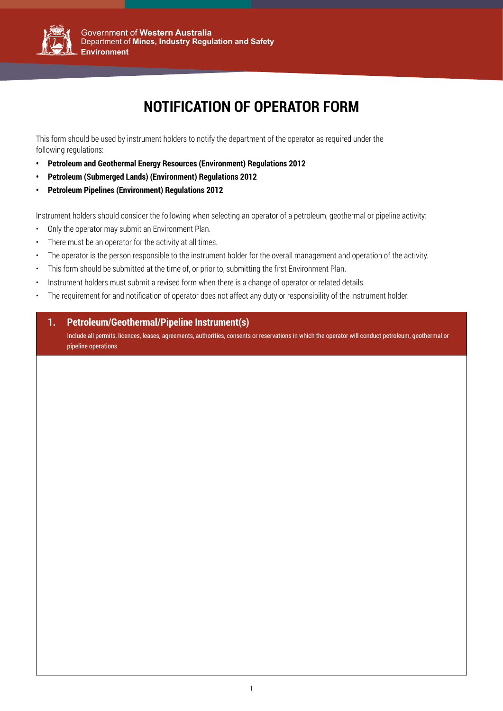

# **NOTIFICATION OF OPERATOR FORM**

This form should be used by instrument holders to notify the department of the operator as required under the following regulations:

- **• Petroleum and Geothermal Energy Resources (Environment) Regulations 2012**
- **• Petroleum (Submerged Lands) (Environment) Regulations 2012**
- Government of **Western Australia** Department of **Mines, Industry Regulation and Safety • Petroleum Pipelines (Environment) Regulations 2012**

Instrument holders should consider the following when selecting an operator of a petroleum, geothermal or pipeline activity:

- • Only the operator may submit an Environment Plan.
- There must be an operator for the activity at all times.
- The operator is the person responsible to the instrument holder for the overall management and operation of the activity.
- dould be outpo<del>utted at the time of expris</del> • This form should be submitted at the time of, or prior to, submitting the first Environment Plan.
- **Mineral Titles** • Instrument holders must submit a revised form when there is a change of operator or related details.
- The requirement for and notification of operator does not affect any duty or responsibility of the instrument holder.

#### **1. Petroleum/Geothermal/Pipeline Instrument(s)**

Include all permits, licences, leases, agreements, authorities, consents or reservations in which the operator will conduct petroleum, geothermal or pipeline operations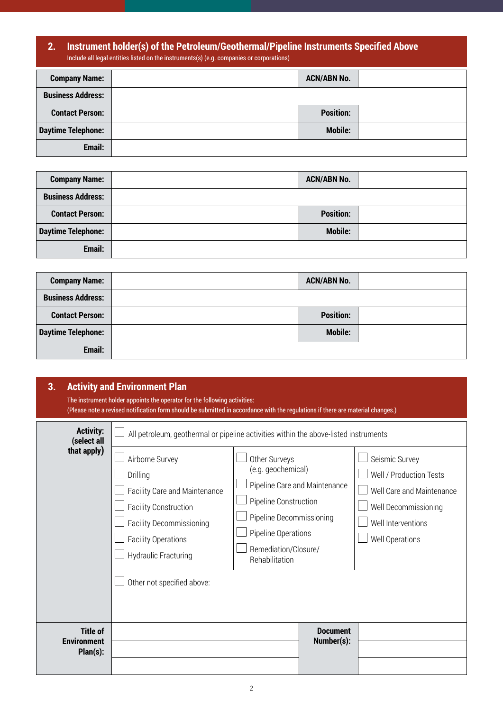#### **2. Instrument holder(s) of the Petroleum/Geothermal/Pipeline Instruments Specified Above** Include all legal entities listed on the instruments(s) (e.g. companies or corporations)

| <b>Company Name:</b>      | <b>ACN/ABN No.</b> |  |
|---------------------------|--------------------|--|
| <b>Business Address:</b>  |                    |  |
| <b>Contact Person:</b>    | <b>Position:</b>   |  |
| <b>Daytime Telephone:</b> | <b>Mobile:</b>     |  |
| Email:                    |                    |  |

| <b>Company Name:</b>      | <b>ACN/ABN No.</b> |
|---------------------------|--------------------|
| <b>Business Address:</b>  |                    |
| <b>Contact Person:</b>    | <b>Position:</b>   |
| <b>Daytime Telephone:</b> | <b>Mobile:</b>     |
| Email:                    |                    |

| <b>Company Name:</b>      | <b>ACN/ABN No.</b> |  |
|---------------------------|--------------------|--|
| <b>Business Address:</b>  |                    |  |
| <b>Contact Person:</b>    | <b>Position:</b>   |  |
| <b>Daytime Telephone:</b> | <b>Mobile:</b>     |  |
| Email:                    |                    |  |

| 3.<br><b>Activity and Environment Plan</b><br>The instrument holder appoints the operator for the following activities:<br>(Please note a revised notification form should be submitted in accordance with the regulations if there are material changes.) |                                                                                                                                                                                                                                                                                      |                                                                                                                                                           |                               |                                                                                                                                                |
|------------------------------------------------------------------------------------------------------------------------------------------------------------------------------------------------------------------------------------------------------------|--------------------------------------------------------------------------------------------------------------------------------------------------------------------------------------------------------------------------------------------------------------------------------------|-----------------------------------------------------------------------------------------------------------------------------------------------------------|-------------------------------|------------------------------------------------------------------------------------------------------------------------------------------------|
| <b>Activity:</b><br>(select all<br>that apply)                                                                                                                                                                                                             | All petroleum, geothermal or pipeline activities within the above-listed instruments<br>Airborne Survey<br>Drilling<br>Facility Care and Maintenance<br><b>Facility Construction</b><br><b>Facility Decommissioning</b><br><b>Facility Operations</b><br><b>Hydraulic Fracturing</b> | Other Surveys<br>(e.g. geochemical)<br>Pipeline Construction<br>Pipeline Decommissioning<br>Pipeline Operations<br>Remediation/Closure/<br>Rehabilitation | Pipeline Care and Maintenance | Seismic Survey<br>Well / Production Tests<br>Well Care and Maintenance<br>Well Decommissioning<br>Well Interventions<br><b>Well Operations</b> |
| <b>Title of</b><br><b>Environment</b><br>Plan(s):                                                                                                                                                                                                          | Other not specified above:                                                                                                                                                                                                                                                           |                                                                                                                                                           | <b>Document</b><br>Number(s): |                                                                                                                                                |
|                                                                                                                                                                                                                                                            |                                                                                                                                                                                                                                                                                      |                                                                                                                                                           |                               |                                                                                                                                                |